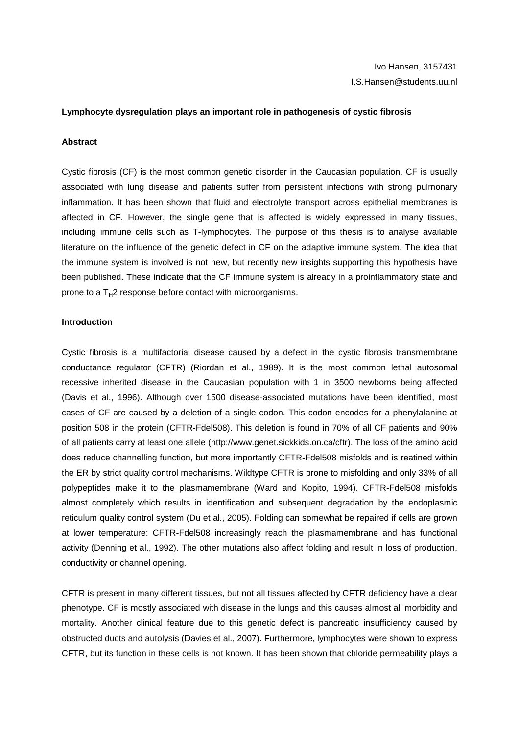## **Lymphocyte dysregulation plays an important role in pathogenesis of cystic fibrosis**

#### **Abstract**

Cystic fibrosis (CF) is the most common genetic disorder in the Caucasian population. CF is usually associated with lung disease and patients suffer from persistent infections with strong pulmonary inflammation. It has been shown that fluid and electrolyte transport across epithelial membranes is affected in CF. However, the single gene that is affected is widely expressed in many tissues, including immune cells such as T-lymphocytes. The purpose of this thesis is to analyse available literature on the influence of the genetic defect in CF on the adaptive immune system. The idea that the immune system is involved is not new, but recently new insights supporting this hypothesis have been published. These indicate that the CF immune system is already in a proinflammatory state and prone to a  $T_H2$  response before contact with microorganisms.

## **Introduction**

Cystic fibrosis is a multifactorial disease caused by a defect in the cystic fibrosis transmembrane conductance regulator (CFTR) (Riordan et al., 1989). It is the most common lethal autosomal recessive inherited disease in the Caucasian population with 1 in 3500 newborns being affected (Davis et al., 1996). Although over 1500 disease-associated mutations have been identified, most cases of CF are caused by a deletion of a single codon. This codon encodes for a phenylalanine at position 508 in the protein (CFTR-Fdel508). This deletion is found in 70% of all CF patients and 90% of all patients carry at least one allele (http://www.genet.sickkids.on.ca/cftr). The loss of the amino acid does reduce channelling function, but more importantly CFTR-Fdel508 misfolds and is reatined within the ER by strict quality control mechanisms. Wildtype CFTR is prone to misfolding and only 33% of all polypeptides make it to the plasmamembrane (Ward and Kopito, 1994). CFTR-Fdel508 misfolds almost completely which results in identification and subsequent degradation by the endoplasmic reticulum quality control system (Du et al., 2005). Folding can somewhat be repaired if cells are grown at lower temperature: CFTR-Fdel508 increasingly reach the plasmamembrane and has functional activity (Denning et al., 1992). The other mutations also affect folding and result in loss of production, conductivity or channel opening.

CFTR is present in many different tissues, but not all tissues affected by CFTR deficiency have a clear phenotype. CF is mostly associated with disease in the lungs and this causes almost all morbidity and mortality. Another clinical feature due to this genetic defect is pancreatic insufficiency caused by obstructed ducts and autolysis (Davies et al., 2007). Furthermore, lymphocytes were shown to express CFTR, but its function in these cells is not known. It has been shown that chloride permeability plays a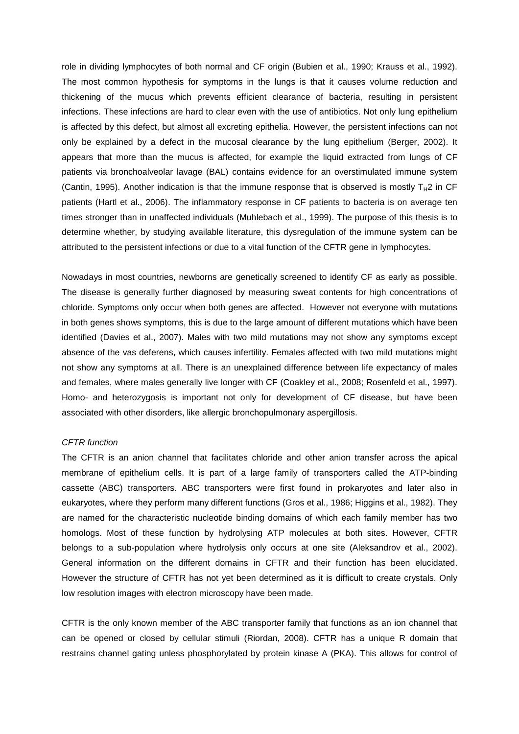role in dividing lymphocytes of both normal and CF origin (Bubien et al., 1990; Krauss et al., 1992). The most common hypothesis for symptoms in the lungs is that it causes volume reduction and thickening of the mucus which prevents efficient clearance of bacteria, resulting in persistent infections. These infections are hard to clear even with the use of antibiotics. Not only lung epithelium is affected by this defect, but almost all excreting epithelia. However, the persistent infections can not only be explained by a defect in the mucosal clearance by the lung epithelium (Berger, 2002). It appears that more than the mucus is affected, for example the liquid extracted from lungs of CF patients via bronchoalveolar lavage (BAL) contains evidence for an overstimulated immune system (Cantin, 1995). Another indication is that the immune response that is observed is mostly  $T_H2$  in CF patients (Hartl et al., 2006). The inflammatory response in CF patients to bacteria is on average ten times stronger than in unaffected individuals (Muhlebach et al., 1999). The purpose of this thesis is to determine whether, by studying available literature, this dysregulation of the immune system can be attributed to the persistent infections or due to a vital function of the CFTR gene in lymphocytes.

Nowadays in most countries, newborns are genetically screened to identify CF as early as possible. The disease is generally further diagnosed by measuring sweat contents for high concentrations of chloride. Symptoms only occur when both genes are affected. However not everyone with mutations in both genes shows symptoms, this is due to the large amount of different mutations which have been identified (Davies et al., 2007). Males with two mild mutations may not show any symptoms except absence of the vas deferens, which causes infertility. Females affected with two mild mutations might not show any symptoms at all. There is an unexplained difference between life expectancy of males and females, where males generally live longer with CF (Coakley et al., 2008; Rosenfeld et al., 1997). Homo- and heterozygosis is important not only for development of CF disease, but have been associated with other disorders, like allergic bronchopulmonary aspergillosis.

# CFTR function

The CFTR is an anion channel that facilitates chloride and other anion transfer across the apical membrane of epithelium cells. It is part of a large family of transporters called the ATP-binding cassette (ABC) transporters. ABC transporters were first found in prokaryotes and later also in eukaryotes, where they perform many different functions (Gros et al., 1986; Higgins et al., 1982). They are named for the characteristic nucleotide binding domains of which each family member has two homologs. Most of these function by hydrolysing ATP molecules at both sites. However, CFTR belongs to a sub-population where hydrolysis only occurs at one site (Aleksandrov et al., 2002). General information on the different domains in CFTR and their function has been elucidated. However the structure of CFTR has not yet been determined as it is difficult to create crystals. Only low resolution images with electron microscopy have been made.

CFTR is the only known member of the ABC transporter family that functions as an ion channel that can be opened or closed by cellular stimuli (Riordan, 2008). CFTR has a unique R domain that restrains channel gating unless phosphorylated by protein kinase A (PKA). This allows for control of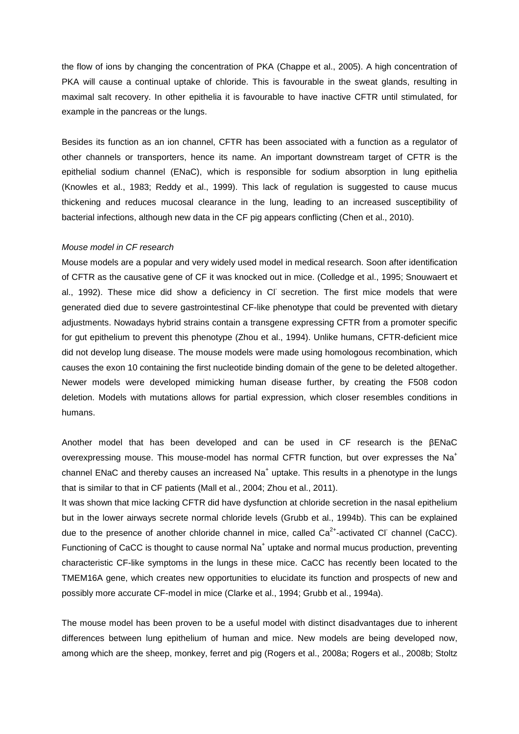the flow of ions by changing the concentration of PKA (Chappe et al., 2005). A high concentration of PKA will cause a continual uptake of chloride. This is favourable in the sweat glands, resulting in maximal salt recovery. In other epithelia it is favourable to have inactive CFTR until stimulated, for example in the pancreas or the lungs.

Besides its function as an ion channel, CFTR has been associated with a function as a regulator of other channels or transporters, hence its name. An important downstream target of CFTR is the epithelial sodium channel (ENaC), which is responsible for sodium absorption in lung epithelia (Knowles et al., 1983; Reddy et al., 1999). This lack of regulation is suggested to cause mucus thickening and reduces mucosal clearance in the lung, leading to an increased susceptibility of bacterial infections, although new data in the CF pig appears conflicting (Chen et al., 2010).

#### Mouse model in CF research

Mouse models are a popular and very widely used model in medical research. Soon after identification of CFTR as the causative gene of CF it was knocked out in mice. (Colledge et al., 1995; Snouwaert et al., 1992). These mice did show a deficiency in Cl secretion. The first mice models that were generated died due to severe gastrointestinal CF-like phenotype that could be prevented with dietary adjustments. Nowadays hybrid strains contain a transgene expressing CFTR from a promoter specific for gut epithelium to prevent this phenotype (Zhou et al., 1994). Unlike humans, CFTR-deficient mice did not develop lung disease. The mouse models were made using homologous recombination, which causes the exon 10 containing the first nucleotide binding domain of the gene to be deleted altogether. Newer models were developed mimicking human disease further, by creating the F508 codon deletion. Models with mutations allows for partial expression, which closer resembles conditions in humans.

Another model that has been developed and can be used in CF research is the βENaC overexpressing mouse. This mouse-model has normal CFTR function, but over expresses the Na<sup>+</sup> channel ENaC and thereby causes an increased Na<sup>+</sup> uptake. This results in a phenotype in the lungs that is similar to that in CF patients (Mall et al., 2004; Zhou et al., 2011).

It was shown that mice lacking CFTR did have dysfunction at chloride secretion in the nasal epithelium but in the lower airways secrete normal chloride levels (Grubb et al., 1994b). This can be explained due to the presence of another chloride channel in mice, called  $Ca^{2+}$ -activated Cl channel (CaCC). Functioning of CaCC is thought to cause normal Na<sup>+</sup> uptake and normal mucus production, preventing characteristic CF-like symptoms in the lungs in these mice. CaCC has recently been located to the TMEM16A gene, which creates new opportunities to elucidate its function and prospects of new and possibly more accurate CF-model in mice (Clarke et al., 1994; Grubb et al., 1994a).

The mouse model has been proven to be a useful model with distinct disadvantages due to inherent differences between lung epithelium of human and mice. New models are being developed now, among which are the sheep, monkey, ferret and pig (Rogers et al., 2008a; Rogers et al., 2008b; Stoltz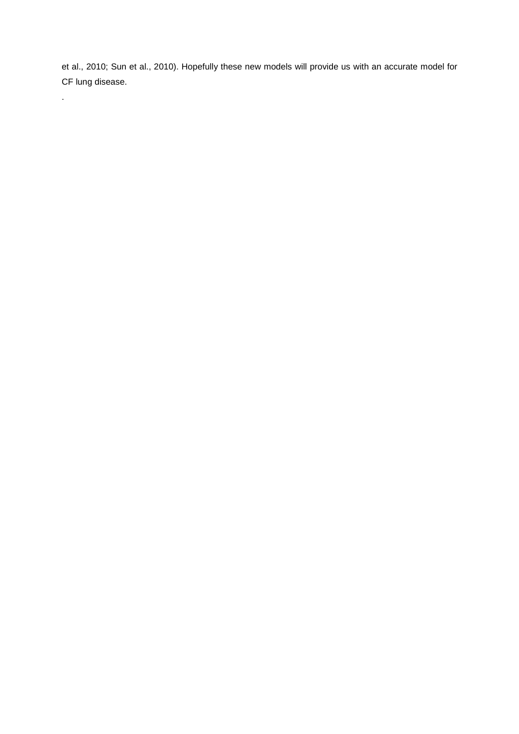et al., 2010; Sun et al., 2010). Hopefully these new models will provide us with an accurate model for CF lung disease.

.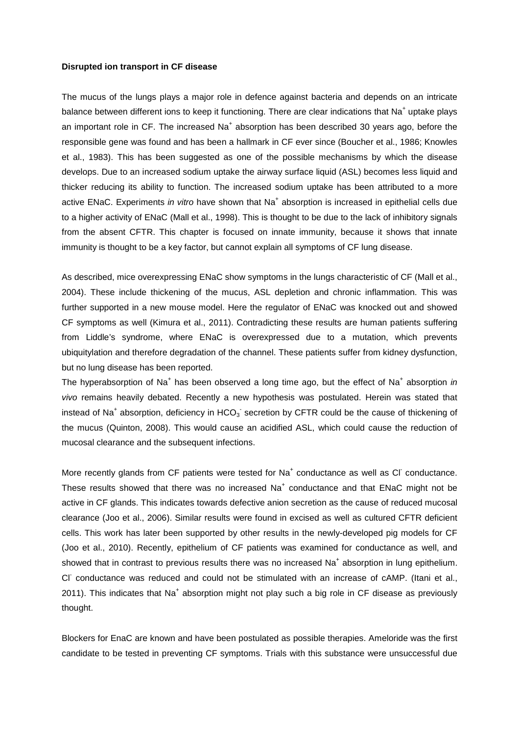#### **Disrupted ion transport in CF disease**

The mucus of the lungs plays a major role in defence against bacteria and depends on an intricate balance between different ions to keep it functioning. There are clear indications that Na<sup>+</sup> uptake plays an important role in CF. The increased Na<sup>+</sup> absorption has been described 30 years ago, before the responsible gene was found and has been a hallmark in CF ever since (Boucher et al., 1986; Knowles et al., 1983). This has been suggested as one of the possible mechanisms by which the disease develops. Due to an increased sodium uptake the airway surface liquid (ASL) becomes less liquid and thicker reducing its ability to function. The increased sodium uptake has been attributed to a more active ENaC. Experiments in vitro have shown that Na<sup>+</sup> absorption is increased in epithelial cells due to a higher activity of ENaC (Mall et al., 1998). This is thought to be due to the lack of inhibitory signals from the absent CFTR. This chapter is focused on innate immunity, because it shows that innate immunity is thought to be a key factor, but cannot explain all symptoms of CF lung disease.

As described, mice overexpressing ENaC show symptoms in the lungs characteristic of CF (Mall et al., 2004). These include thickening of the mucus, ASL depletion and chronic inflammation. This was further supported in a new mouse model. Here the regulator of ENaC was knocked out and showed CF symptoms as well (Kimura et al., 2011). Contradicting these results are human patients suffering from Liddle's syndrome, where ENaC is overexpressed due to a mutation, which prevents ubiquitylation and therefore degradation of the channel. These patients suffer from kidney dysfunction, but no lung disease has been reported.

The hyperabsorption of Na<sup>+</sup> has been observed a long time ago, but the effect of Na<sup>+</sup> absorption in vivo remains heavily debated. Recently a new hypothesis was postulated. Herein was stated that instead of Na<sup>+</sup> absorption, deficiency in HCO<sub>3</sub><sup>-</sup> secretion by CFTR could be the cause of thickening of the mucus (Quinton, 2008). This would cause an acidified ASL, which could cause the reduction of mucosal clearance and the subsequent infections.

More recently glands from CF patients were tested for  $Na<sup>+</sup>$  conductance as well as CI conductance. These results showed that there was no increased  $Na<sup>+</sup>$  conductance and that ENaC might not be active in CF glands. This indicates towards defective anion secretion as the cause of reduced mucosal clearance (Joo et al., 2006). Similar results were found in excised as well as cultured CFTR deficient cells. This work has later been supported by other results in the newly-developed pig models for CF (Joo et al., 2010). Recently, epithelium of CF patients was examined for conductance as well, and showed that in contrast to previous results there was no increased Na<sup>+</sup> absorption in lung epithelium. CI conductance was reduced and could not be stimulated with an increase of cAMP. (Itani et al., 2011). This indicates that Na<sup>+</sup> absorption might not play such a big role in CF disease as previously thought.

Blockers for EnaC are known and have been postulated as possible therapies. Ameloride was the first candidate to be tested in preventing CF symptoms. Trials with this substance were unsuccessful due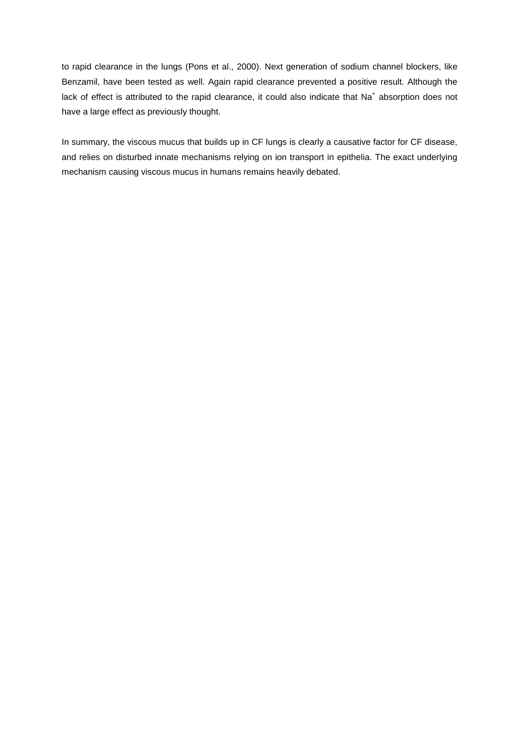to rapid clearance in the lungs (Pons et al., 2000). Next generation of sodium channel blockers, like Benzamil, have been tested as well. Again rapid clearance prevented a positive result. Although the lack of effect is attributed to the rapid clearance, it could also indicate that Na<sup>+</sup> absorption does not have a large effect as previously thought.

In summary, the viscous mucus that builds up in CF lungs is clearly a causative factor for CF disease, and relies on disturbed innate mechanisms relying on ion transport in epithelia. The exact underlying mechanism causing viscous mucus in humans remains heavily debated.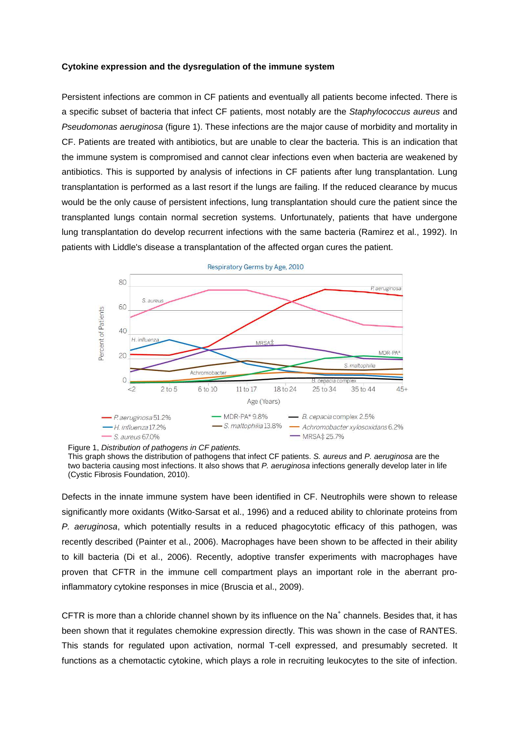## **Cytokine expression and the dysregulation of the immune system**

Persistent infections are common in CF patients and eventually all patients become infected. There is a specific subset of bacteria that infect CF patients, most notably are the Staphylococcus aureus and Pseudomonas aeruginosa (figure 1). These infections are the major cause of morbidity and mortality in CF. Patients are treated with antibiotics, but are unable to clear the bacteria. This is an indication that the immune system is compromised and cannot clear infections even when bacteria are weakened by antibiotics. This is supported by analysis of infections in CF patients after lung transplantation. Lung transplantation is performed as a last resort if the lungs are failing. If the reduced clearance by mucus would be the only cause of persistent infections, lung transplantation should cure the patient since the transplanted lungs contain normal secretion systems. Unfortunately, patients that have undergone lung transplantation do develop recurrent infections with the same bacteria (Ramirez et al., 1992). In patients with Liddle's disease a transplantation of the affected organ cures the patient.



Respiratory Germs by Age, 2010

Figure 1, Distribution of pathogens in CF patients.

This graph shows the distribution of pathogens that infect CF patients. S. aureus and P. aeruginosa are the two bacteria causing most infections. It also shows that P. aeruginosa infections generally develop later in life (Cystic Fibrosis Foundation, 2010).

Defects in the innate immune system have been identified in CF. Neutrophils were shown to release significantly more oxidants (Witko-Sarsat et al., 1996) and a reduced ability to chlorinate proteins from P. aeruginosa, which potentially results in a reduced phagocytotic efficacy of this pathogen, was recently described (Painter et al., 2006). Macrophages have been shown to be affected in their ability to kill bacteria (Di et al., 2006). Recently, adoptive transfer experiments with macrophages have proven that CFTR in the immune cell compartment plays an important role in the aberrant proinflammatory cytokine responses in mice (Bruscia et al., 2009).

CFTR is more than a chloride channel shown by its influence on the Na<sup>+</sup> channels. Besides that, it has been shown that it regulates chemokine expression directly. This was shown in the case of RANTES. This stands for regulated upon activation, normal T-cell expressed, and presumably secreted. It functions as a chemotactic cytokine, which plays a role in recruiting leukocytes to the site of infection.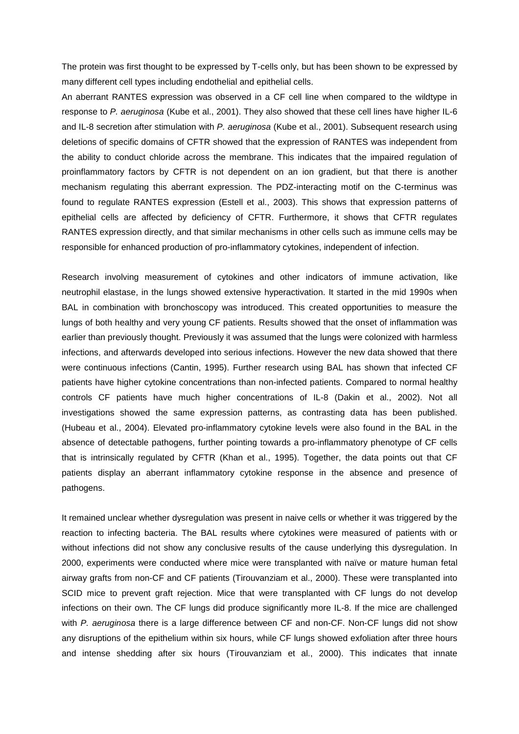The protein was first thought to be expressed by T-cells only, but has been shown to be expressed by many different cell types including endothelial and epithelial cells.

An aberrant RANTES expression was observed in a CF cell line when compared to the wildtype in response to P. aeruginosa (Kube et al., 2001). They also showed that these cell lines have higher IL-6 and IL-8 secretion after stimulation with P. aeruginosa (Kube et al., 2001). Subsequent research using deletions of specific domains of CFTR showed that the expression of RANTES was independent from the ability to conduct chloride across the membrane. This indicates that the impaired regulation of proinflammatory factors by CFTR is not dependent on an ion gradient, but that there is another mechanism regulating this aberrant expression. The PDZ-interacting motif on the C-terminus was found to regulate RANTES expression (Estell et al., 2003). This shows that expression patterns of epithelial cells are affected by deficiency of CFTR. Furthermore, it shows that CFTR regulates RANTES expression directly, and that similar mechanisms in other cells such as immune cells may be responsible for enhanced production of pro-inflammatory cytokines, independent of infection.

Research involving measurement of cytokines and other indicators of immune activation, like neutrophil elastase, in the lungs showed extensive hyperactivation. It started in the mid 1990s when BAL in combination with bronchoscopy was introduced. This created opportunities to measure the lungs of both healthy and very young CF patients. Results showed that the onset of inflammation was earlier than previously thought. Previously it was assumed that the lungs were colonized with harmless infections, and afterwards developed into serious infections. However the new data showed that there were continuous infections (Cantin, 1995). Further research using BAL has shown that infected CF patients have higher cytokine concentrations than non-infected patients. Compared to normal healthy controls CF patients have much higher concentrations of IL-8 (Dakin et al., 2002). Not all investigations showed the same expression patterns, as contrasting data has been published. (Hubeau et al., 2004). Elevated pro-inflammatory cytokine levels were also found in the BAL in the absence of detectable pathogens, further pointing towards a pro-inflammatory phenotype of CF cells that is intrinsically regulated by CFTR (Khan et al., 1995). Together, the data points out that CF patients display an aberrant inflammatory cytokine response in the absence and presence of pathogens.

It remained unclear whether dysregulation was present in naive cells or whether it was triggered by the reaction to infecting bacteria. The BAL results where cytokines were measured of patients with or without infections did not show any conclusive results of the cause underlying this dysregulation. In 2000, experiments were conducted where mice were transplanted with naïve or mature human fetal airway grafts from non-CF and CF patients (Tirouvanziam et al., 2000). These were transplanted into SCID mice to prevent graft rejection. Mice that were transplanted with CF lungs do not develop infections on their own. The CF lungs did produce significantly more IL-8. If the mice are challenged with P. aeruginosa there is a large difference between CF and non-CF. Non-CF lungs did not show any disruptions of the epithelium within six hours, while CF lungs showed exfoliation after three hours and intense shedding after six hours (Tirouvanziam et al., 2000). This indicates that innate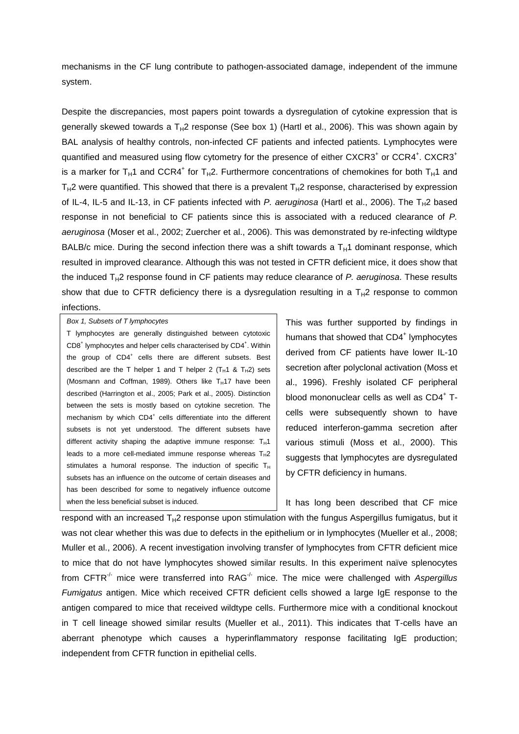mechanisms in the CF lung contribute to pathogen-associated damage, independent of the immune system.

Despite the discrepancies, most papers point towards a dysregulation of cytokine expression that is generally skewed towards a  $T_H2$  response (See box 1) (Hartl et al., 2006). This was shown again by BAL analysis of healthy controls, non-infected CF patients and infected patients. Lymphocytes were quantified and measured using flow cytometry for the presence of either CXCR3<sup>+</sup> or CCR4<sup>+</sup>. CXCR3<sup>+</sup> is a marker for T<sub>H</sub>1 and CCR4<sup>+</sup> for T<sub>H</sub>2. Furthermore concentrations of chemokines for both T<sub>H</sub>1 and  $T_H2$  were quantified. This showed that there is a prevalent  $T_H2$  response, characterised by expression of IL-4, IL-5 and IL-13, in CF patients infected with P. aeruginosa (Hartl et al., 2006). The  $T_H2$  based response in not beneficial to CF patients since this is associated with a reduced clearance of P. aeruginosa (Moser et al., 2002; Zuercher et al., 2006). This was demonstrated by re-infecting wildtype BALB/c mice. During the second infection there was a shift towards a  $T<sub>H</sub>1$  dominant response, which resulted in improved clearance. Although this was not tested in CFTR deficient mice, it does show that the induced  $T_H2$  response found in CF patients may reduce clearance of P. aeruginosa. These results show that due to CFTR deficiency there is a dysregulation resulting in a  $T_H2$  response to common infections.

Box 1, Subsets of T lymphocytes

T lymphocytes are generally distinguished between cytotoxic CD8<sup>+</sup> lymphocytes and helper cells characterised by CD4<sup>+</sup>. Within the group of CD4<sup>+</sup> cells there are different subsets. Best described are the T helper 1 and T helper 2  $(T_H1 \& T_H2)$  sets (Mosmann and Coffman, 1989). Others like  $T_H$ 17 have been described (Harrington et al., 2005; Park et al., 2005). Distinction between the sets is mostly based on cytokine secretion. The mechanism by which CD4<sup>+</sup> cells differentiate into the different subsets is not yet understood. The different subsets have different activity shaping the adaptive immune response:  $T_H1$ leads to a more cell-mediated immune response whereas  $T_H2$ stimulates a humoral response. The induction of specific  $T_H$ subsets has an influence on the outcome of certain diseases and has been described for some to negatively influence outcome when the less beneficial subset is induced.

This was further supported by findings in humans that showed that CD4<sup>+</sup> lymphocytes derived from CF patients have lower IL-10 secretion after polyclonal activation (Moss et al., 1996). Freshly isolated CF peripheral blood mononuclear cells as well as CD4<sup>+</sup> Tcells were subsequently shown to have reduced interferon-gamma secretion after various stimuli (Moss et al., 2000). This suggests that lymphocytes are dysregulated by CFTR deficiency in humans.

It has long been described that CF mice

respond with an increased  $T_H2$  response upon stimulation with the fungus Aspergillus fumigatus, but it was not clear whether this was due to defects in the epithelium or in lymphocytes (Mueller et al., 2008; Muller et al., 2006). A recent investigation involving transfer of lymphocytes from CFTR deficient mice to mice that do not have lymphocytes showed similar results. In this experiment naïve splenocytes from CFTR<sup>-/-</sup> mice were transferred into RAG<sup>-/-</sup> mice. The mice were challenged with Aspergillus Fumigatus antigen. Mice which received CFTR deficient cells showed a large IgE response to the antigen compared to mice that received wildtype cells. Furthermore mice with a conditional knockout in T cell lineage showed similar results (Mueller et al., 2011). This indicates that T-cells have an aberrant phenotype which causes a hyperinflammatory response facilitating IgE production; independent from CFTR function in epithelial cells.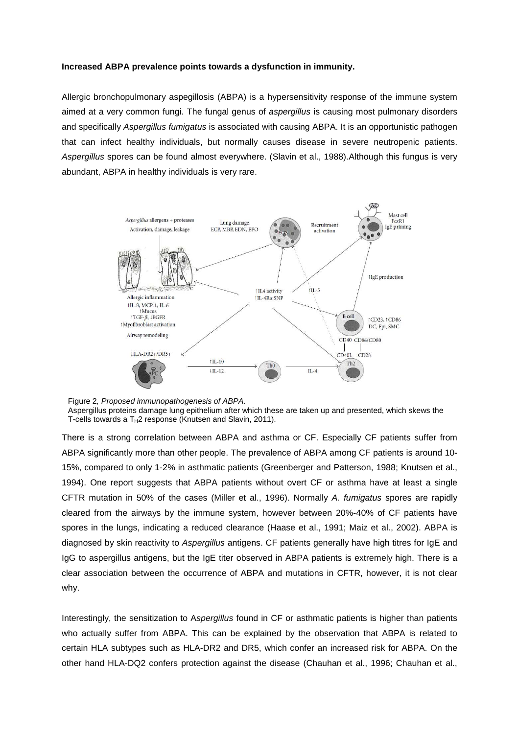## **Increased ABPA prevalence points towards a dysfunction in immunity.**

Allergic bronchopulmonary aspegillosis (ABPA) is a hypersensitivity response of the immune system aimed at a very common fungi. The fungal genus of aspergillus is causing most pulmonary disorders and specifically Aspergillus fumigatus is associated with causing ABPA. It is an opportunistic pathogen that can infect healthy individuals, but normally causes disease in severe neutropenic patients. Aspergillus spores can be found almost everywhere. (Slavin et al., 1988).Although this fungus is very abundant, ABPA in healthy individuals is very rare.



Figure 2, Proposed immunopathogenesis of ABPA. Aspergillus proteins damage lung epithelium after which these are taken up and presented, which skews the T-cells towards a  $T_H2$  response (Knutsen and Slavin, 2011).

There is a strong correlation between ABPA and asthma or CF. Especially CF patients suffer from ABPA significantly more than other people. The prevalence of ABPA among CF patients is around 10- 15%, compared to only 1-2% in asthmatic patients (Greenberger and Patterson, 1988; Knutsen et al., 1994). One report suggests that ABPA patients without overt CF or asthma have at least a single CFTR mutation in 50% of the cases (Miller et al., 1996). Normally A. fumigatus spores are rapidly cleared from the airways by the immune system, however between 20%-40% of CF patients have spores in the lungs, indicating a reduced clearance (Haase et al., 1991; Maiz et al., 2002). ABPA is diagnosed by skin reactivity to Aspergillus antigens. CF patients generally have high titres for IgE and IgG to aspergillus antigens, but the IgE titer observed in ABPA patients is extremely high. There is a clear association between the occurrence of ABPA and mutations in CFTR, however, it is not clear why.

Interestingly, the sensitization to Aspergillus found in CF or asthmatic patients is higher than patients who actually suffer from ABPA. This can be explained by the observation that ABPA is related to certain HLA subtypes such as HLA-DR2 and DR5, which confer an increased risk for ABPA. On the other hand HLA-DQ2 confers protection against the disease (Chauhan et al., 1996; Chauhan et al.,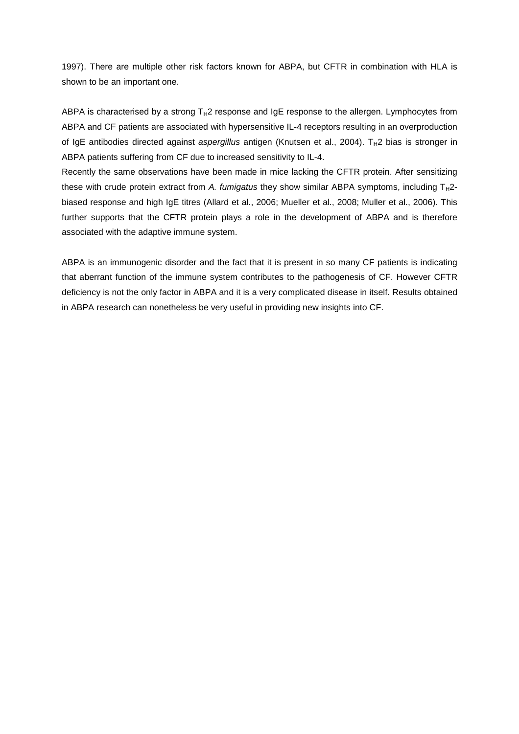1997). There are multiple other risk factors known for ABPA, but CFTR in combination with HLA is shown to be an important one.

ABPA is characterised by a strong  $T_H2$  response and IgE response to the allergen. Lymphocytes from ABPA and CF patients are associated with hypersensitive IL-4 receptors resulting in an overproduction of IgE antibodies directed against aspergillus antigen (Knutsen et al., 2004).  $T_H$ 2 bias is stronger in ABPA patients suffering from CF due to increased sensitivity to IL-4.

Recently the same observations have been made in mice lacking the CFTR protein. After sensitizing these with crude protein extract from A. fumigatus they show similar ABPA symptoms, including  $T_H2$ biased response and high IgE titres (Allard et al., 2006; Mueller et al., 2008; Muller et al., 2006). This further supports that the CFTR protein plays a role in the development of ABPA and is therefore associated with the adaptive immune system.

ABPA is an immunogenic disorder and the fact that it is present in so many CF patients is indicating that aberrant function of the immune system contributes to the pathogenesis of CF. However CFTR deficiency is not the only factor in ABPA and it is a very complicated disease in itself. Results obtained in ABPA research can nonetheless be very useful in providing new insights into CF.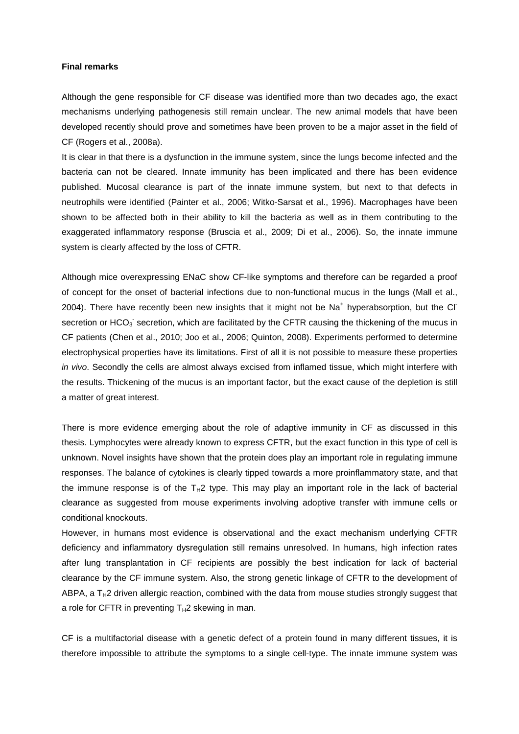## **Final remarks**

Although the gene responsible for CF disease was identified more than two decades ago, the exact mechanisms underlying pathogenesis still remain unclear. The new animal models that have been developed recently should prove and sometimes have been proven to be a major asset in the field of CF (Rogers et al., 2008a).

It is clear in that there is a dysfunction in the immune system, since the lungs become infected and the bacteria can not be cleared. Innate immunity has been implicated and there has been evidence published. Mucosal clearance is part of the innate immune system, but next to that defects in neutrophils were identified (Painter et al., 2006; Witko-Sarsat et al., 1996). Macrophages have been shown to be affected both in their ability to kill the bacteria as well as in them contributing to the exaggerated inflammatory response (Bruscia et al., 2009; Di et al., 2006). So, the innate immune system is clearly affected by the loss of CFTR.

Although mice overexpressing ENaC show CF-like symptoms and therefore can be regarded a proof of concept for the onset of bacterial infections due to non-functional mucus in the lungs (Mall et al., 2004). There have recently been new insights that it might not be Na<sup>+</sup> hyperabsorption, but the CI secretion or  $HCO<sub>3</sub>$  secretion, which are facilitated by the CFTR causing the thickening of the mucus in CF patients (Chen et al., 2010; Joo et al., 2006; Quinton, 2008). Experiments performed to determine electrophysical properties have its limitations. First of all it is not possible to measure these properties in vivo. Secondly the cells are almost always excised from inflamed tissue, which might interfere with the results. Thickening of the mucus is an important factor, but the exact cause of the depletion is still a matter of great interest.

There is more evidence emerging about the role of adaptive immunity in CF as discussed in this thesis. Lymphocytes were already known to express CFTR, but the exact function in this type of cell is unknown. Novel insights have shown that the protein does play an important role in regulating immune responses. The balance of cytokines is clearly tipped towards a more proinflammatory state, and that the immune response is of the  $T_H2$  type. This may play an important role in the lack of bacterial clearance as suggested from mouse experiments involving adoptive transfer with immune cells or conditional knockouts.

However, in humans most evidence is observational and the exact mechanism underlying CFTR deficiency and inflammatory dysregulation still remains unresolved. In humans, high infection rates after lung transplantation in CF recipients are possibly the best indication for lack of bacterial clearance by the CF immune system. Also, the strong genetic linkage of CFTR to the development of ABPA, a  $T_H2$  driven allergic reaction, combined with the data from mouse studies strongly suggest that a role for CFTR in preventing  $T_H2$  skewing in man.

CF is a multifactorial disease with a genetic defect of a protein found in many different tissues, it is therefore impossible to attribute the symptoms to a single cell-type. The innate immune system was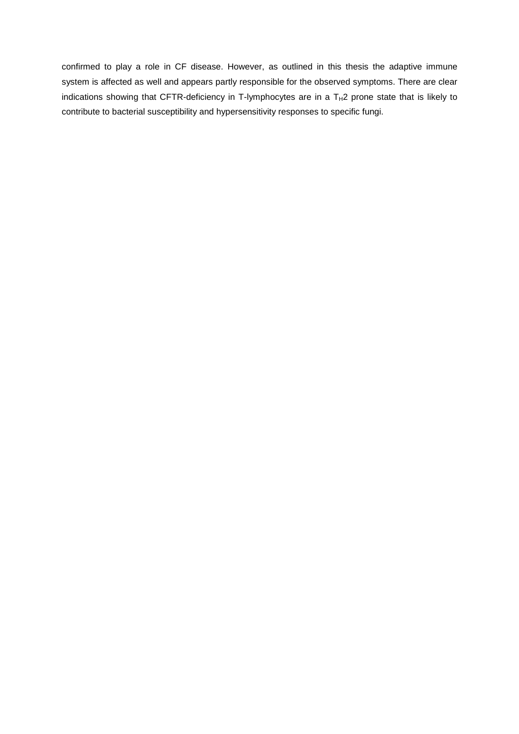confirmed to play a role in CF disease. However, as outlined in this thesis the adaptive immune system is affected as well and appears partly responsible for the observed symptoms. There are clear indications showing that CFTR-deficiency in T-lymphocytes are in a  $T_H2$  prone state that is likely to contribute to bacterial susceptibility and hypersensitivity responses to specific fungi.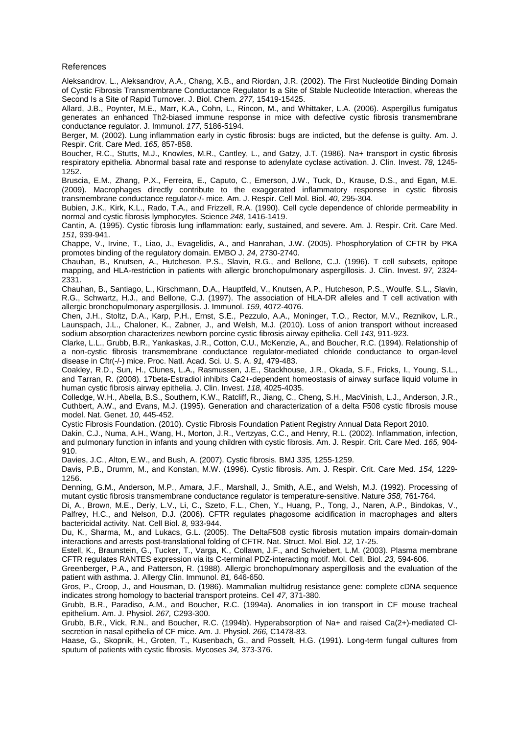#### References

Aleksandrov, L., Aleksandrov, A.A., Chang, X.B., and Riordan, J.R. (2002). The First Nucleotide Binding Domain of Cystic Fibrosis Transmembrane Conductance Regulator Is a Site of Stable Nucleotide Interaction, whereas the Second Is a Site of Rapid Turnover. J. Biol. Chem. 277, 15419-15425.

Allard, J.B., Poynter, M.E., Marr, K.A., Cohn, L., Rincon, M., and Whittaker, L.A. (2006). Aspergillus fumigatus generates an enhanced Th2-biased immune response in mice with defective cystic fibrosis transmembrane conductance regulator. J. Immunol. 177, 5186-5194.

Berger, M. (2002). Lung inflammation early in cystic fibrosis: bugs are indicted, but the defense is guilty. Am. J. Respir. Crit. Care Med. 165, 857-858.

Boucher, R.C., Stutts, M.J., Knowles, M.R., Cantley, L., and Gatzy, J.T. (1986). Na+ transport in cystic fibrosis respiratory epithelia. Abnormal basal rate and response to adenylate cyclase activation. J. Clin. Invest. 78, 1245- 1252.

Bruscia, E.M., Zhang, P.X., Ferreira, E., Caputo, C., Emerson, J.W., Tuck, D., Krause, D.S., and Egan, M.E. (2009). Macrophages directly contribute to the exaggerated inflammatory response in cystic fibrosis transmembrane conductance regulator-/- mice. Am. J. Respir. Cell Mol. Biol. 40, 295-304.

Bubien, J.K., Kirk, K.L., Rado, T.A., and Frizzell, R.A. (1990). Cell cycle dependence of chloride permeability in normal and cystic fibrosis lymphocytes. Science 248, 1416-1419.

Cantin, A. (1995). Cystic fibrosis lung inflammation: early, sustained, and severe. Am. J. Respir. Crit. Care Med. 151, 939-941.

Chappe, V., Irvine, T., Liao, J., Evagelidis, A., and Hanrahan, J.W. (2005). Phosphorylation of CFTR by PKA promotes binding of the regulatory domain. EMBO J. 24, 2730-2740.

Chauhan, B., Knutsen, A., Hutcheson, P.S., Slavin, R.G., and Bellone, C.J. (1996). T cell subsets, epitope mapping, and HLA-restriction in patients with allergic bronchopulmonary aspergillosis. J. Clin. Invest. 97, 2324- 2331.

Chauhan, B., Santiago, L., Kirschmann, D.A., Hauptfeld, V., Knutsen, A.P., Hutcheson, P.S., Woulfe, S.L., Slavin, R.G., Schwartz, H.J., and Bellone, C.J. (1997). The association of HLA-DR alleles and T cell activation with allergic bronchopulmonary aspergillosis. J. Immunol. 159, 4072-4076.

Chen, J.H., Stoltz, D.A., Karp, P.H., Ernst, S.E., Pezzulo, A.A., Moninger, T.O., Rector, M.V., Reznikov, L.R., Launspach, J.L., Chaloner, K., Zabner, J., and Welsh, M.J. (2010). Loss of anion transport without increased sodium absorption characterizes newborn porcine cystic fibrosis airway epithelia. Cell 143, 911-923.

Clarke, L.L., Grubb, B.R., Yankaskas, J.R., Cotton, C.U., McKenzie, A., and Boucher, R.C. (1994). Relationship of a non-cystic fibrosis transmembrane conductance regulator-mediated chloride conductance to organ-level disease in Cftr(-/-) mice. Proc. Natl. Acad. Sci. U. S. A. 91, 479-483.

Coakley, R.D., Sun, H., Clunes, L.A., Rasmussen, J.E., Stackhouse, J.R., Okada, S.F., Fricks, I., Young, S.L., and Tarran, R. (2008). 17beta-Estradiol inhibits Ca2+-dependent homeostasis of airway surface liquid volume in human cystic fibrosis airway epithelia. J. Clin. Invest. 118, 4025-4035.

Colledge, W.H., Abella, B.S., Southern, K.W., Ratcliff, R., Jiang, C., Cheng, S.H., MacVinish, L.J., Anderson, J.R., Cuthbert, A.W., and Evans, M.J. (1995). Generation and characterization of a delta F508 cystic fibrosis mouse model. Nat. Genet. 10, 445-452.

Cystic Fibrosis Foundation. (2010). Cystic Fibrosis Foundation Patient Registry Annual Data Report 2010.

Dakin, C.J., Numa, A.H., Wang, H., Morton, J.R., Vertzyas, C.C., and Henry, R.L. (2002). Inflammation, infection, and pulmonary function in infants and young children with cystic fibrosis. Am. J. Respir. Crit. Care Med. 165, 904- 910.

Davies, J.C., Alton, E.W., and Bush, A. (2007). Cystic fibrosis. BMJ 335, 1255-1259.

Davis, P.B., Drumm, M., and Konstan, M.W. (1996). Cystic fibrosis. Am. J. Respir. Crit. Care Med. 154, 1229- 1256.

Denning, G.M., Anderson, M.P., Amara, J.F., Marshall, J., Smith, A.E., and Welsh, M.J. (1992). Processing of mutant cystic fibrosis transmembrane conductance regulator is temperature-sensitive. Nature 358, 761-764.

Di, A., Brown, M.E., Deriy, L.V., Li, C., Szeto, F.L., Chen, Y., Huang, P., Tong, J., Naren, A.P., Bindokas, V., Palfrey, H.C., and Nelson, D.J. (2006). CFTR regulates phagosome acidification in macrophages and alters bactericidal activity. Nat. Cell Biol. 8, 933-944.

Du, K., Sharma, M., and Lukacs, G.L. (2005). The DeltaF508 cystic fibrosis mutation impairs domain-domain interactions and arrests post-translational folding of CFTR. Nat. Struct. Mol. Biol. 12, 17-25.

Estell, K., Braunstein, G., Tucker, T., Varga, K., Collawn, J.F., and Schwiebert, L.M. (2003). Plasma membrane CFTR regulates RANTES expression via its C-terminal PDZ-interacting motif. Mol. Cell. Biol. 23, 594-606.

Greenberger, P.A., and Patterson, R. (1988). Allergic bronchopulmonary aspergillosis and the evaluation of the patient with asthma. J. Allergy Clin. Immunol. 81, 646-650.

Gros, P., Croop, J., and Housman, D. (1986). Mammalian multidrug resistance gene: complete cDNA sequence indicates strong homology to bacterial transport proteins. Cell 47, 371-380.

Grubb, B.R., Paradiso, A.M., and Boucher, R.C. (1994a). Anomalies in ion transport in CF mouse tracheal epithelium. Am. J. Physiol. 267, C293-300.

Grubb, B.R., Vick, R.N., and Boucher, R.C. (1994b). Hyperabsorption of Na+ and raised Ca(2+)-mediated Clsecretion in nasal epithelia of CF mice. Am. J. Physiol. 266, C1478-83.

Haase, G., Skopnik, H., Groten, T., Kusenbach, G., and Posselt, H.G. (1991). Long-term fungal cultures from sputum of patients with cystic fibrosis. Mycoses 34, 373-376.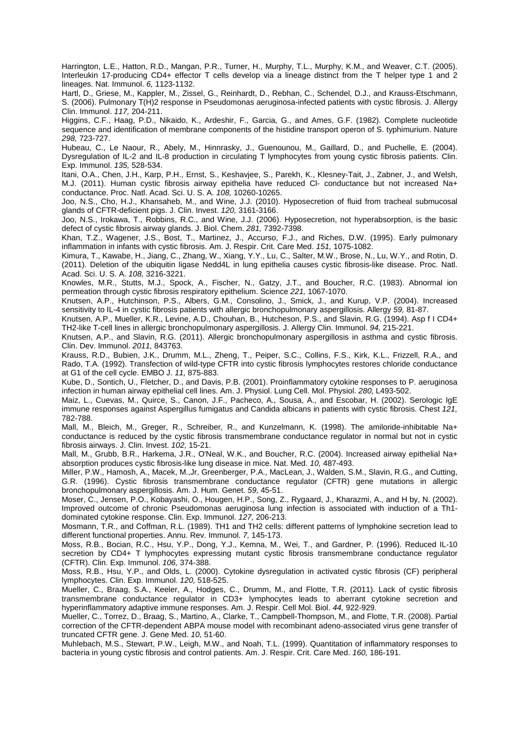Harrington, L.E., Hatton, R.D., Mangan, P.R., Turner, H., Murphy, T.L., Murphy, K.M., and Weaver, C.T. (2005). Interleukin 17-producing CD4+ effector T cells develop via a lineage distinct from the T helper type 1 and 2 lineages. Nat. Immunol. 6, 1123-1132.

Hartl, D., Griese, M., Kappler, M., Zissel, G., Reinhardt, D., Rebhan, C., Schendel, D.J., and Krauss-Etschmann, S. (2006). Pulmonary T(H)2 response in Pseudomonas aeruginosa-infected patients with cystic fibrosis. J. Allergy Clin. Immunol. 117, 204-211.

Higgins, C.F., Haag, P.D., Nikaido, K., Ardeshir, F., Garcia, G., and Ames, G.F. (1982). Complete nucleotide sequence and identification of membrane components of the histidine transport operon of S. typhimurium. Nature 298, 723-727.

Hubeau, C., Le Naour, R., Abely, M., Hinnrasky, J., Guenounou, M., Gaillard, D., and Puchelle, E. (2004). Dysregulation of IL-2 and IL-8 production in circulating T lymphocytes from young cystic fibrosis patients. Clin. Exp. Immunol. 135, 528-534.

Itani, O.A., Chen, J.H., Karp, P.H., Ernst, S., Keshavjee, S., Parekh, K., Klesney-Tait, J., Zabner, J., and Welsh, M.J. (2011). Human cystic fibrosis airway epithelia have reduced Cl- conductance but not increased Na+ conductance. Proc. Natl. Acad. Sci. U. S. A. 108, 10260-10265.

Joo, N.S., Cho, H.J., Khansaheb, M., and Wine, J.J. (2010). Hyposecretion of fluid from tracheal submucosal glands of CFTR-deficient pigs. J. Clin. Invest. 120, 3161-3166.

Joo, N.S., Irokawa, T., Robbins, R.C., and Wine, J.J. (2006). Hyposecretion, not hyperabsorption, is the basic defect of cystic fibrosis airway glands. J. Biol. Chem. 281, 7392-7398.

Khan, T.Z., Wagener, J.S., Bost, T., Martinez, J., Accurso, F.J., and Riches, D.W. (1995). Early pulmonary inflammation in infants with cystic fibrosis. Am. J. Respir. Crit. Care Med. 151, 1075-1082.

Kimura, T., Kawabe, H., Jiang, C., Zhang, W., Xiang, Y.Y., Lu, C., Salter, M.W., Brose, N., Lu, W.Y., and Rotin, D. (2011). Deletion of the ubiquitin ligase Nedd4L in lung epithelia causes cystic fibrosis-like disease. Proc. Natl. Acad. Sci. U. S. A. 108, 3216-3221.

Knowles, M.R., Stutts, M.J., Spock, A., Fischer, N., Gatzy, J.T., and Boucher, R.C. (1983). Abnormal ion permeation through cystic fibrosis respiratory epithelium. Science 221, 1067-1070.

Knutsen, A.P., Hutchinson, P.S., Albers, G.M., Consolino, J., Smick, J., and Kurup, V.P. (2004). Increased sensitivity to IL-4 in cystic fibrosis patients with allergic bronchopulmonary aspergillosis. Allergy 59, 81-87.

Knutsen, A.P., Mueller, K.R., Levine, A.D., Chouhan, B., Hutcheson, P.S., and Slavin, R.G. (1994). Asp f I CD4+ TH2-like T-cell lines in allergic bronchopulmonary aspergillosis. J. Allergy Clin. Immunol. 94, 215-221.

Knutsen, A.P., and Slavin, R.G. (2011). Allergic bronchopulmonary aspergillosis in asthma and cystic fibrosis. Clin. Dev. Immunol. 2011, 843763.

Krauss, R.D., Bubien, J.K., Drumm, M.L., Zheng, T., Peiper, S.C., Collins, F.S., Kirk, K.L., Frizzell, R.A., and Rado, T.A. (1992). Transfection of wild-type CFTR into cystic fibrosis lymphocytes restores chloride conductance at G1 of the cell cycle. EMBO J. 11, 875-883.

Kube, D., Sontich, U., Fletcher, D., and Davis, P.B. (2001). Proinflammatory cytokine responses to P. aeruginosa infection in human airway epithelial cell lines. Am. J. Physiol. Lung Cell. Mol. Physiol. 280, L493-502.

Maiz, L., Cuevas, M., Quirce, S., Canon, J.F., Pacheco, A., Sousa, A., and Escobar, H. (2002). Serologic IgE immune responses against Aspergillus fumigatus and Candida albicans in patients with cystic fibrosis. Chest 121, 782-788.

Mall, M., Bleich, M., Greger, R., Schreiber, R., and Kunzelmann, K. (1998). The amiloride-inhibitable Na+ conductance is reduced by the cystic fibrosis transmembrane conductance regulator in normal but not in cystic fibrosis airways. J. Clin. Invest. 102, 15-21.

Mall, M., Grubb, B.R., Harkema, J.R., O'Neal, W.K., and Boucher, R.C. (2004). Increased airway epithelial Na+ absorption produces cystic fibrosis-like lung disease in mice. Nat. Med. 10, 487-493.

Miller, P.W., Hamosh, A., Macek, M.,Jr, Greenberger, P.A., MacLean, J., Walden, S.M., Slavin, R.G., and Cutting, G.R. (1996). Cystic fibrosis transmembrane conductance regulator (CFTR) gene mutations in allergic bronchopulmonary aspergillosis. Am. J. Hum. Genet. 59, 45-51.

Moser, C., Jensen, P.O., Kobayashi, O., Hougen, H.P., Song, Z., Rygaard, J., Kharazmi, A., and H by, N. (2002). Improved outcome of chronic Pseudomonas aeruginosa lung infection is associated with induction of a Th1 dominated cytokine response. Clin. Exp. Immunol. 127, 206-213.

Mosmann, T.R., and Coffman, R.L. (1989). TH1 and TH2 cells: different patterns of lymphokine secretion lead to different functional properties. Annu. Rev. Immunol. 7, 145-173.

Moss, R.B., Bocian, R.C., Hsu, Y.P., Dong, Y.J., Kemna, M., Wei, T., and Gardner, P. (1996). Reduced IL-10 secretion by CD4+ T lymphocytes expressing mutant cystic fibrosis transmembrane conductance regulator (CFTR). Clin. Exp. Immunol. 106, 374-388.

Moss, R.B., Hsu, Y.P., and Olds, L. (2000). Cytokine dysregulation in activated cystic fibrosis (CF) peripheral lymphocytes. Clin. Exp. Immunol. 120, 518-525.

Mueller, C., Braag, S.A., Keeler, A., Hodges, C., Drumm, M., and Flotte, T.R. (2011). Lack of cystic fibrosis transmembrane conductance regulator in CD3+ lymphocytes leads to aberrant cytokine secretion and hyperinflammatory adaptive immune responses. Am. J. Respir. Cell Mol. Biol. 44, 922-929.

Mueller, C., Torrez, D., Braag, S., Martino, A., Clarke, T., Campbell-Thompson, M., and Flotte, T.R. (2008). Partial correction of the CFTR-dependent ABPA mouse model with recombinant adeno-associated virus gene transfer of truncated CFTR gene. J. Gene Med. 10, 51-60.

Muhlebach, M.S., Stewart, P.W., Leigh, M.W., and Noah, T.L. (1999). Quantitation of inflammatory responses to bacteria in young cystic fibrosis and control patients. Am. J. Respir. Crit. Care Med. 160, 186-191.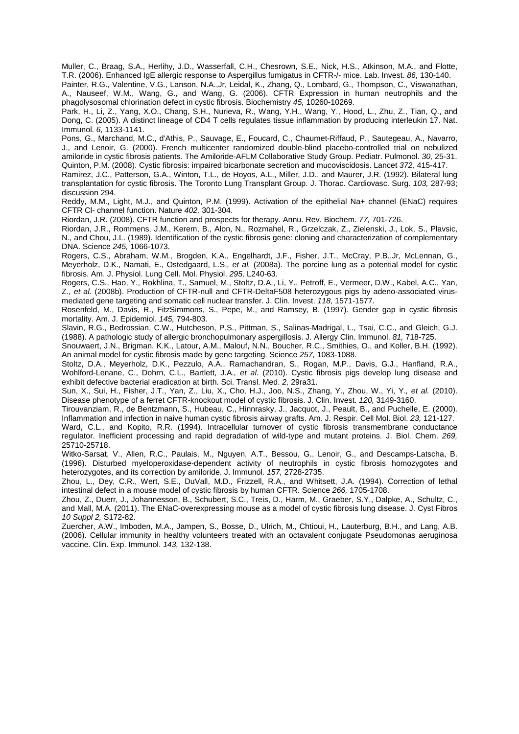Muller, C., Braag, S.A., Herlihy, J.D., Wasserfall, C.H., Chesrown, S.E., Nick, H.S., Atkinson, M.A., and Flotte, T.R. (2006). Enhanced IgE allergic response to Aspergillus fumigatus in CFTR-/- mice. Lab. Invest. 86, 130-140.

Painter, R.G., Valentine, V.G., Lanson, N.A.,Jr, Leidal, K., Zhang, Q., Lombard, G., Thompson, C., Viswanathan, A., Nauseef, W.M., Wang, G., and Wang, G. (2006). CFTR Expression in human neutrophils and the phagolysosomal chlorination defect in cystic fibrosis. Biochemistry 45, 10260-10269.

Park, H., Li, Z., Yang, X.O., Chang, S.H., Nurieva, R., Wang, Y.H., Wang, Y., Hood, L., Zhu, Z., Tian, Q., and Dong, C. (2005). A distinct lineage of CD4 T cells regulates tissue inflammation by producing interleukin 17. Nat. Immunol. 6, 1133-1141.

Pons, G., Marchand, M.C., d'Athis, P., Sauvage, E., Foucard, C., Chaumet-Riffaud, P., Sautegeau, A., Navarro, J., and Lenoir, G. (2000). French multicenter randomized double-blind placebo-controlled trial on nebulized amiloride in cystic fibrosis patients. The Amiloride-AFLM Collaborative Study Group. Pediatr. Pulmonol. 30, 25-31. Quinton, P.M. (2008). Cystic fibrosis: impaired bicarbonate secretion and mucoviscidosis. Lancet 372, 415-417.

Ramirez, J.C., Patterson, G.A., Winton, T.L., de Hoyos, A.L., Miller, J.D., and Maurer, J.R. (1992). Bilateral lung transplantation for cystic fibrosis. The Toronto Lung Transplant Group. J. Thorac. Cardiovasc. Surg. 103, 287-93; discussion 294.

Reddy, M.M., Light, M.J., and Quinton, P.M. (1999). Activation of the epithelial Na+ channel (ENaC) requires CFTR Cl- channel function. Nature 402, 301-304.

Riordan, J.R. (2008). CFTR function and prospects for therapy. Annu. Rev. Biochem. 77, 701-726.

Riordan, J.R., Rommens, J.M., Kerem, B., Alon, N., Rozmahel, R., Grzelczak, Z., Zielenski, J., Lok, S., Plavsic, N., and Chou, J.L. (1989). Identification of the cystic fibrosis gene: cloning and characterization of complementary DNA. Science 245, 1066-1073.

Rogers, C.S., Abraham, W.M., Brogden, K.A., Engelhardt, J.F., Fisher, J.T., McCray, P.B.,Jr, McLennan, G., Meyerholz, D.K., Namati, E., Ostedgaard, L.S., et al. (2008a). The porcine lung as a potential model for cystic fibrosis. Am. J. Physiol. Lung Cell. Mol. Physiol. 295, L240-63.

Rogers, C.S., Hao, Y., Rokhlina, T., Samuel, M., Stoltz, D.A., Li, Y., Petroff, E., Vermeer, D.W., Kabel, A.C., Yan, Z., et al. (2008b). Production of CFTR-null and CFTR-DeltaF508 heterozygous pigs by adeno-associated virusmediated gene targeting and somatic cell nuclear transfer. J. Clin. Invest. 118, 1571-1577.

Rosenfeld, M., Davis, R., FitzSimmons, S., Pepe, M., and Ramsey, B. (1997). Gender gap in cystic fibrosis mortality. Am. J. Epidemiol. 145, 794-803.

Slavin, R.G., Bedrossian, C.W., Hutcheson, P.S., Pittman, S., Salinas-Madrigal, L., Tsai, C.C., and Gleich, G.J. (1988). A pathologic study of allergic bronchopulmonary aspergillosis. J. Allergy Clin. Immunol. 81, 718-725.

Snouwaert, J.N., Brigman, K.K., Latour, A.M., Malouf, N.N., Boucher, R.C., Smithies, O., and Koller, B.H. (1992). An animal model for cystic fibrosis made by gene targeting. Science 257, 1083-1088.

Stoltz, D.A., Meyerholz, D.K., Pezzulo, A.A., Ramachandran, S., Rogan, M.P., Davis, G.J., Hanfland, R.A., Wohlford-Lenane, C., Dohrn, C.L., Bartlett, J.A., et al. (2010). Cystic fibrosis pigs develop lung disease and exhibit defective bacterial eradication at birth. Sci. Transl. Med. 2, 29ra31.

Sun, X., Sui, H., Fisher, J.T., Yan, Z., Liu, X., Cho, H.J., Joo, N.S., Zhang, Y., Zhou, W., Yi, Y., et al. (2010). Disease phenotype of a ferret CFTR-knockout model of cystic fibrosis. J. Clin. Invest. 120, 3149-3160.

Tirouvanziam, R., de Bentzmann, S., Hubeau, C., Hinnrasky, J., Jacquot, J., Peault, B., and Puchelle, E. (2000). Inflammation and infection in naive human cystic fibrosis airway grafts. Am. J. Respir. Cell Mol. Biol. 23, 121-127.

Ward, C.L., and Kopito, R.R. (1994). Intracellular turnover of cystic fibrosis transmembrane conductance regulator. Inefficient processing and rapid degradation of wild-type and mutant proteins. J. Biol. Chem. 269, 25710-25718.

Witko-Sarsat, V., Allen, R.C., Paulais, M., Nguyen, A.T., Bessou, G., Lenoir, G., and Descamps-Latscha, B. (1996). Disturbed myeloperoxidase-dependent activity of neutrophils in cystic fibrosis homozygotes and heterozygotes, and its correction by amiloride. J. Immunol. 157, 2728-2735.

Zhou, L., Dey, C.R., Wert, S.E., DuVall, M.D., Frizzell, R.A., and Whitsett, J.A. (1994). Correction of lethal intestinal defect in a mouse model of cystic fibrosis by human CFTR. Science 266, 1705-1708.

Zhou, Z., Duerr, J., Johannesson, B., Schubert, S.C., Treis, D., Harm, M., Graeber, S.Y., Dalpke, A., Schultz, C., and Mall, M.A. (2011). The ENaC-overexpressing mouse as a model of cystic fibrosis lung disease. J. Cyst Fibros 10 Suppl 2, S172-82.

Zuercher, A.W., Imboden, M.A., Jampen, S., Bosse, D., Ulrich, M., Chtioui, H., Lauterburg, B.H., and Lang, A.B. (2006). Cellular immunity in healthy volunteers treated with an octavalent conjugate Pseudomonas aeruginosa vaccine. Clin. Exp. Immunol. 143, 132-138.